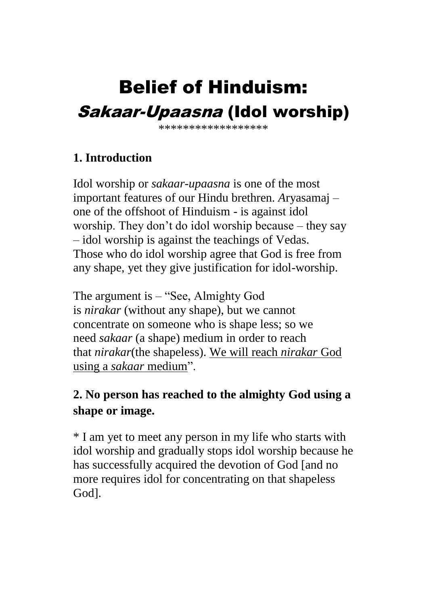# Belief of Hinduism: Sakaar-Upaasna (Idol worship)

\*\*\*\*\*\*\*\*\*\*\*\*\*\*\*\*\*\*

# **1. Introduction**

Idol worship or *sakaar-upaasna* is one of the most important features of our Hindu brethren. *A*ryasamaj – one of the offshoot of Hinduism - is against idol worship. They don't do idol worship because – they say – idol worship is against the teachings of Vedas. Those who do idol worship agree that God is free from any shape, yet they give justification for idol-worship.

The argument is – "See, Almighty God is *nirakar* (without any shape), but we cannot concentrate on someone who is shape less; so we need *sakaar* (a shape) medium in order to reach that *nirakar*(the shapeless). We will reach *nirakar* God using a *sakaar* medium".

# **2. No person has reached to the almighty God using a shape or image.**

\* I am yet to meet any person in my life who starts with idol worship and gradually stops idol worship because he has successfully acquired the devotion of God [and no more requires idol for concentrating on that shapeless God].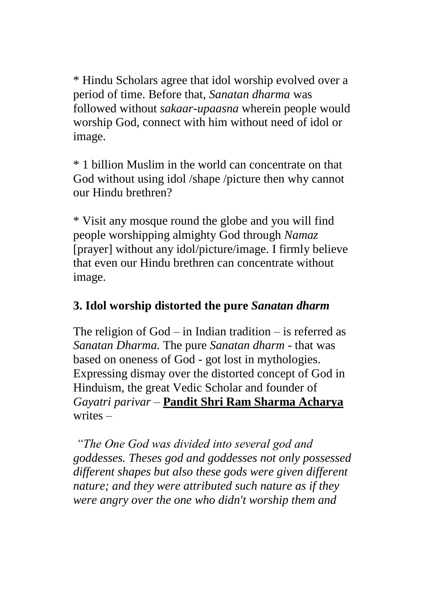\* Hindu Scholars agree that idol worship evolved over a period of time. Before that, *Sanatan dharma* was followed without *sakaar-upaasna* wherein people would worship God, connect with him without need of idol or image.

\* 1 billion Muslim in the world can concentrate on that God without using idol /shape /picture then why cannot our Hindu brethren?

\* Visit any mosque round the globe and you will find people worshipping almighty God through *Namaz* [prayer] without any idol/picture/image. I firmly believe that even our Hindu brethren can concentrate without image.

### **3. Idol worship distorted the pure** *Sanatan dharm*

The religion of God – in Indian tradition – is referred as *Sanatan Dharma.* The pure *Sanatan dharm* - that was based on oneness of God - got lost in mythologies. Expressing dismay over the distorted concept of God in Hinduism, the great Vedic Scholar and founder of *Gayatri parivar* – **Pandit Shri Ram Sharma Acharya** writes –

*"The One God was divided into several god and goddesses. Theses god and goddesses not only possessed different shapes but also these gods were given different nature; and they were attributed such nature as if they were angry over the one who didn't worship them and*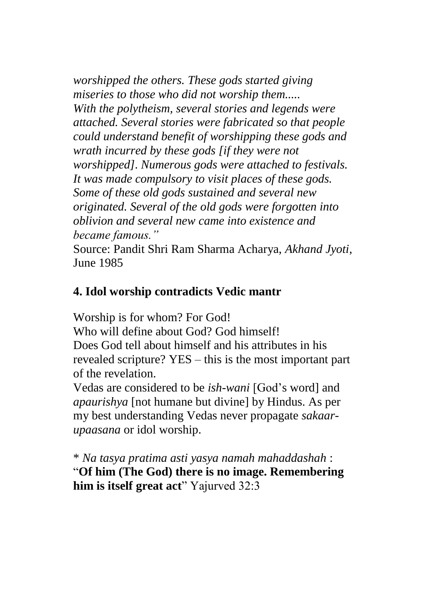*worshipped the others. These gods started giving miseries to those who did not worship them..... With the polytheism, several stories and legends were attached. Several stories were fabricated so that people could understand benefit of worshipping these gods and wrath incurred by these gods [if they were not worshipped]. Numerous gods were attached to festivals. It was made compulsory to visit places of these gods. Some of these old gods sustained and several new originated. Several of the old gods were forgotten into oblivion and several new came into existence and became famous."*

Source: Pandit Shri Ram Sharma Acharya, *Akhand Jyoti*, June 1985

#### **4. Idol worship contradicts Vedic mantr**

Worship is for whom? For God!

Who will define about God? God himself! Does God tell about himself and his attributes in his revealed scripture? YES – this is the most important part of the revelation.

Vedas are considered to be *ish-wani* [God's word] and *apaurishya* [not humane but divine] by Hindus. As per my best understanding Vedas never propagate *sakaarupaasana* or idol worship.

\* *Na tasya pratima asti yasya namah mahaddashah* : "**Of him (The God) there is no image. Remembering him is itself great act**" Yajurved 32:3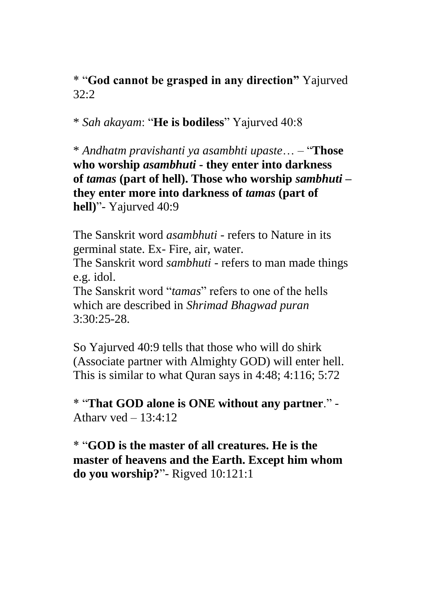\* "**God cannot be grasped in any direction"** Yajurved 32:2

\* *Sah akayam*: "**He is bodiless**" Yajurved 40:8

\* *Andhatm pravishanti ya asambhti upaste*… – "**Those who worship** *asambhuti* **- they enter into darkness of** *tamas* **(part of hell). Those who worship** *sambhuti* **– they enter more into darkness of** *tamas* **(part of hell)**"- Yajurved 40:9

The Sanskrit word *asambhuti* - refers to Nature in its germinal state. Ex- Fire, air, water.

The Sanskrit word *sambhuti* - refers to man made things e.g. idol.

The Sanskrit word "*tamas*" refers to one of the hells which are described in *Shrimad Bhagwad puran*  $3.30.25 - 28$ 

So Yajurved 40:9 tells that those who will do shirk (Associate partner with Almighty GOD) will enter hell. This is similar to what Quran says in 4:48; 4:116; 5:72

\* "**That GOD alone is ONE without any partner**." - Athary yed  $-13:4:12$ 

\* "**GOD is the master of all creatures. He is the master of heavens and the Earth. Except him whom do you worship?**"- Rigved 10:121:1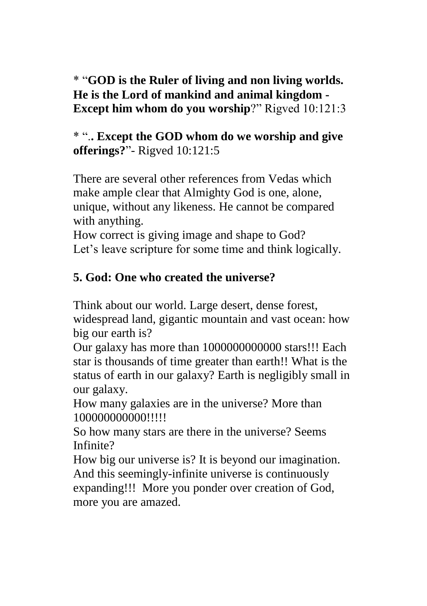\* "**GOD is the Ruler of living and non living worlds. He is the Lord of mankind and animal kingdom - Except him whom do you worship**?" Rigved 10:121:3

\* ".**. Except the GOD whom do we worship and give offerings?**"- Rigved 10:121:5

There are several other references from Vedas which make ample clear that Almighty God is one, alone, unique, without any likeness. He cannot be compared with anything.

How correct is giving image and shape to God? Let's leave scripture for some time and think logically.

# **5. God: One who created the universe?**

Think about our world. Large desert, dense forest,

widespread land, gigantic mountain and vast ocean: how big our earth is?

Our galaxy has more than 1000000000000 stars!!! Each star is thousands of time greater than earth!! What is the status of earth in our galaxy? Earth is negligibly small in our galaxy.

How many galaxies are in the universe? More than 100000000000!!!!!

So how many stars are there in the universe? Seems Infinite?

How big our universe is? It is beyond our imagination. And this seemingly-infinite universe is continuously expanding!!! More you ponder over creation of God, more you are amazed.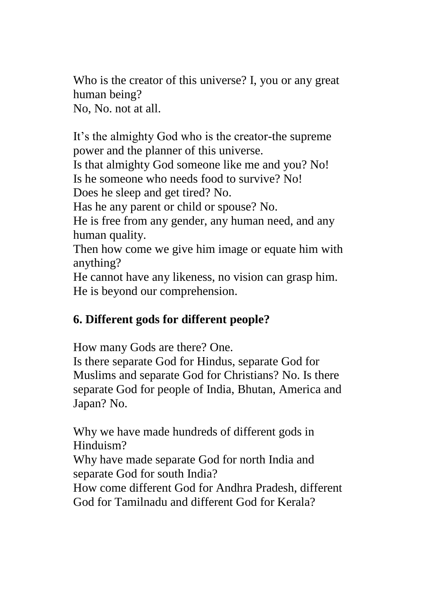Who is the creator of this universe? I, you or any great human being? No, No. not at all.

It's the almighty God who is the creator-the supreme power and the planner of this universe.

Is that almighty God someone like me and you? No! Is he someone who needs food to survive? No!

Does he sleep and get tired? No.

Has he any parent or child or spouse? No.

He is free from any gender, any human need, and any human quality.

Then how come we give him image or equate him with anything?

He cannot have any likeness, no vision can grasp him. He is beyond our comprehension.

### **6. Different gods for different people?**

How many Gods are there? One.

Is there separate God for Hindus, separate God for Muslims and separate God for Christians? No. Is there separate God for people of India, Bhutan, America and Japan? No.

Why we have made hundreds of different gods in Hinduism?

Why have made separate God for north India and separate God for south India?

How come different God for Andhra Pradesh, different God for Tamilnadu and different God for Kerala?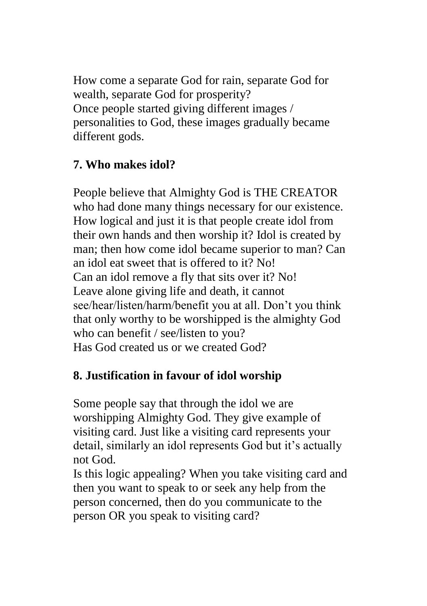How come a separate God for rain, separate God for wealth, separate God for prosperity? Once people started giving different images / personalities to God, these images gradually became different gods.

## **7. Who makes idol?**

People believe that Almighty God is THE CREATOR who had done many things necessary for our existence. How logical and just it is that people create idol from their own hands and then worship it? Idol is created by man; then how come idol became superior to man? Can an idol eat sweet that is offered to it? No! Can an idol remove a fly that sits over it? No! Leave alone giving life and death, it cannot see/hear/listen/harm/benefit you at all. Don't you think that only worthy to be worshipped is the almighty God who can benefit / see/listen to you? Has God created us or we created God?

### **8. Justification in favour of idol worship**

Some people say that through the idol we are worshipping Almighty God. They give example of visiting card. Just like a visiting card represents your detail, similarly an idol represents God but it's actually not God.

Is this logic appealing? When you take visiting card and then you want to speak to or seek any help from the person concerned, then do you communicate to the person OR you speak to visiting card?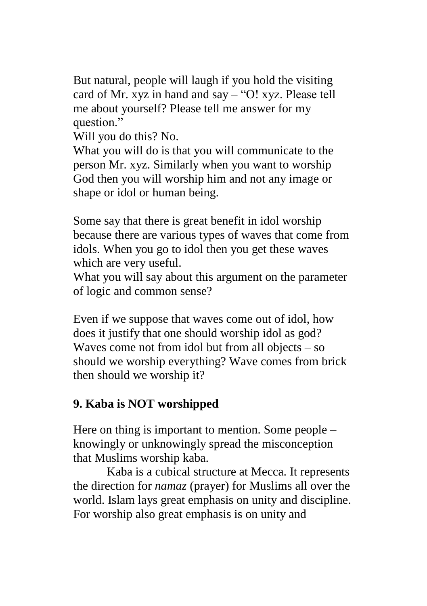But natural, people will laugh if you hold the visiting card of Mr. xyz in hand and say – "O! xyz. Please tell me about yourself? Please tell me answer for my question."

Will you do this? No.

What you will do is that you will communicate to the person Mr. xyz. Similarly when you want to worship God then you will worship him and not any image or shape or idol or human being.

Some say that there is great benefit in idol worship because there are various types of waves that come from idols. When you go to idol then you get these waves which are very useful.

What you will say about this argument on the parameter of logic and common sense?

Even if we suppose that waves come out of idol, how does it justify that one should worship idol as god? Waves come not from idol but from all objects – so should we worship everything? Wave comes from brick then should we worship it?

### **9. Kaba is NOT worshipped**

Here on thing is important to mention. Some people – knowingly or unknowingly spread the misconception that Muslims worship kaba.

 Kaba is a cubical structure at Mecca. It represents the direction for *namaz* (prayer) for Muslims all over the world. Islam lays great emphasis on unity and discipline. For worship also great emphasis is on unity and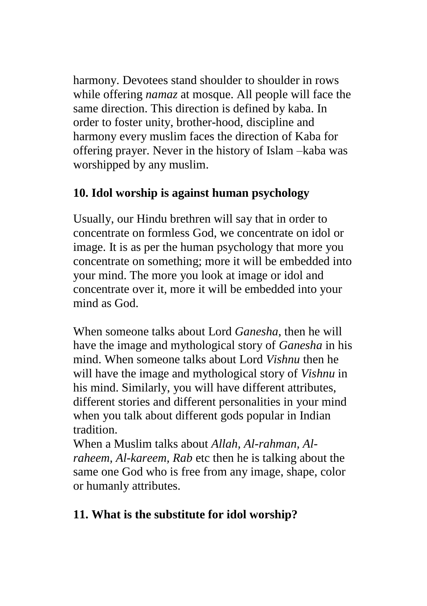harmony. Devotees stand shoulder to shoulder in rows while offering *namaz* at mosque. All people will face the same direction. This direction is defined by kaba. In order to foster unity, brother-hood, discipline and harmony every muslim faces the direction of Kaba for offering prayer. Never in the history of Islam –kaba was worshipped by any muslim.

### **10. Idol worship is against human psychology**

Usually, our Hindu brethren will say that in order to concentrate on formless God, we concentrate on idol or image. It is as per the human psychology that more you concentrate on something; more it will be embedded into your mind. The more you look at image or idol and concentrate over it, more it will be embedded into your mind as God.

When someone talks about Lord *Ganesha*, then he will have the image and mythological story of *Ganesha* in his mind. When someone talks about Lord *Vishnu* then he will have the image and mythological story of *Vishnu* in his mind. Similarly, you will have different attributes, different stories and different personalities in your mind when you talk about different gods popular in Indian tradition.

When a Muslim talks about *Allah, Al-rahman, Alraheem, Al-kareem, Rab* etc then he is talking about the same one God who is free from any image, shape, color or humanly attributes.

# **11. What is the substitute for idol worship?**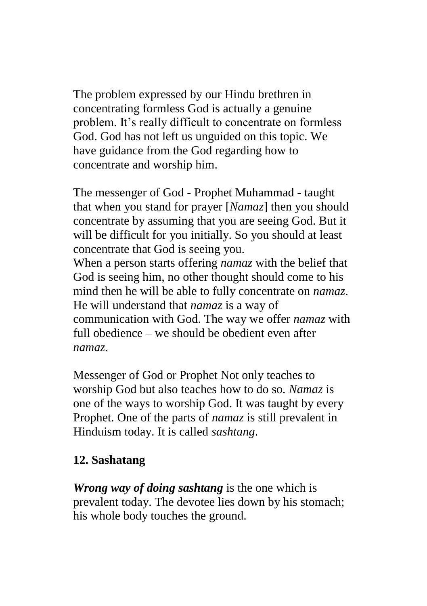The problem expressed by our Hindu brethren in concentrating formless God is actually a genuine problem. It's really difficult to concentrate on formless God. God has not left us unguided on this topic. We have guidance from the God regarding how to concentrate and worship him.

The messenger of God - Prophet Muhammad - taught that when you stand for prayer [*Namaz*] then you should concentrate by assuming that you are seeing God. But it will be difficult for you initially. So you should at least concentrate that God is seeing you.

When a person starts offering *namaz* with the belief that God is seeing him, no other thought should come to his mind then he will be able to fully concentrate on *namaz*. He will understand that *namaz* is a way of communication with God. The way we offer *namaz* with full obedience – we should be obedient even after *namaz*.

Messenger of God or Prophet Not only teaches to worship God but also teaches how to do so. *Namaz* is one of the ways to worship God. It was taught by every Prophet. One of the parts of *namaz* is still prevalent in Hinduism today. It is called *sashtang*.

#### **12. Sashatang**

*Wrong way of doing sashtang* is the one which is prevalent today. The devotee lies down by his stomach; his whole body touches the ground.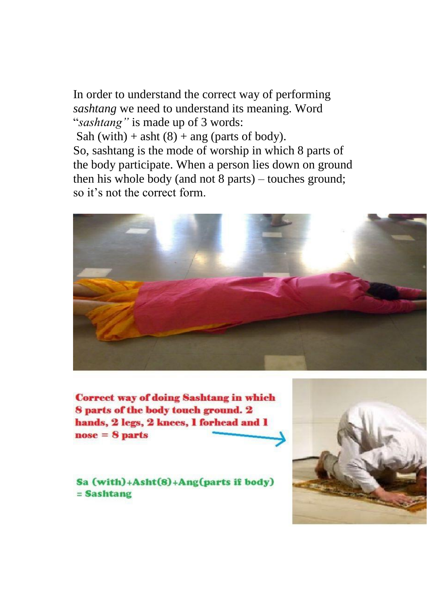In order to understand the correct way of performing *sashtang* we need to understand its meaning. Word "*sashtang"* is made up of 3 words: Sah (with) + asht  $(8)$  + ang (parts of body). So, sashtang is the mode of worship in which 8 parts of the body participate. When a person lies down on ground then his whole body (and not 8 parts) – touches ground; so it's not the correct form.



**Correct way of doing Sashtang in which** 8 parts of the body touch ground. 2 hands, 2 legs, 2 knees, 1 forhead and 1  $nose = 8$  parts

Sa (with)+Asht(8)+Ang(parts if body) = Sashtang